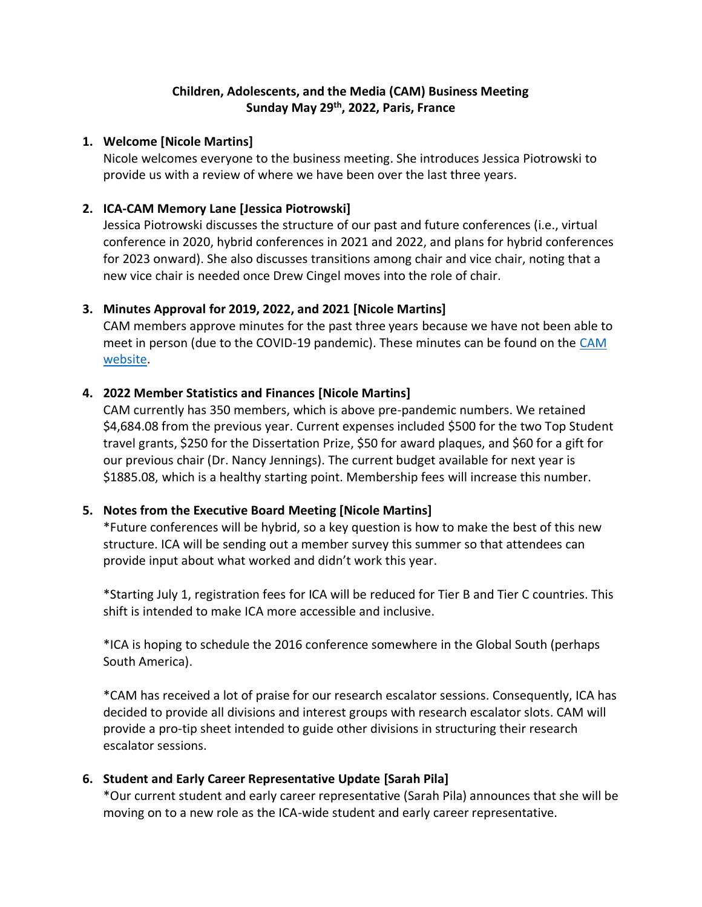# **Children, Adolescents, and the Media (CAM) Business Meeting Sunday May 29th, 2022, Paris, France**

### **1. Welcome [Nicole Martins]**

Nicole welcomes everyone to the business meeting. She introduces Jessica Piotrowski to provide us with a review of where we have been over the last three years.

### **2. ICA-CAM Memory Lane [Jessica Piotrowski]**

Jessica Piotrowski discusses the structure of our past and future conferences (i.e., virtual conference in 2020, hybrid conferences in 2021 and 2022, and plans for hybrid conferences for 2023 onward). She also discusses transitions among chair and vice chair, noting that a new vice chair is needed once Drew Cingel moves into the role of chair.

# **3. Minutes Approval for 2019, 2022, and 2021 [Nicole Martins]**

CAM members approve minutes for the past three years because we have not been able to meet in person (due to the COVID-19 pandemic). These minutes can be found on the [CAM](https://ica-cam.org/previous-conferences/)  [website.](https://ica-cam.org/previous-conferences/)

### **4. 2022 Member Statistics and Finances [Nicole Martins]**

CAM currently has 350 members, which is above pre-pandemic numbers. We retained \$4,684.08 from the previous year. Current expenses included \$500 for the two Top Student travel grants, \$250 for the Dissertation Prize, \$50 for award plaques, and \$60 for a gift for our previous chair (Dr. Nancy Jennings). The current budget available for next year is \$1885.08, which is a healthy starting point. Membership fees will increase this number.

### **5. Notes from the Executive Board Meeting [Nicole Martins]**

\*Future conferences will be hybrid, so a key question is how to make the best of this new structure. ICA will be sending out a member survey this summer so that attendees can provide input about what worked and didn't work this year.

\*Starting July 1, registration fees for ICA will be reduced for Tier B and Tier C countries. This shift is intended to make ICA more accessible and inclusive.

\*ICA is hoping to schedule the 2016 conference somewhere in the Global South (perhaps South America).

\*CAM has received a lot of praise for our research escalator sessions. Consequently, ICA has decided to provide all divisions and interest groups with research escalator slots. CAM will provide a pro-tip sheet intended to guide other divisions in structuring their research escalator sessions.

# **6. Student and Early Career Representative Update [Sarah Pila]**

\*Our current student and early career representative (Sarah Pila) announces that she will be moving on to a new role as the ICA-wide student and early career representative.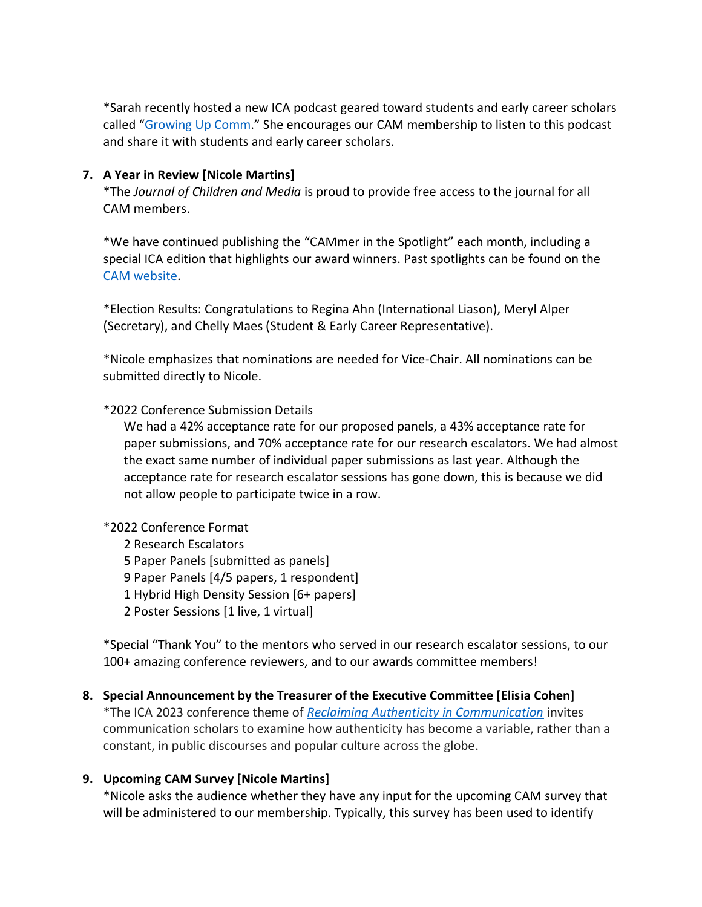\*Sarah recently hosted a new ICA podcast geared toward students and early career scholars called "[Growing Up Comm](https://www.icahdq.org/general/custom.asp?page=ICApodcast_GUC)." She encourages our CAM membership to listen to this podcast and share it with students and early career scholars.

### **7. A Year in Review [Nicole Martins]**

\*The *Journal of Children and Media* is proud to provide free access to the journal for all CAM members.

\*We have continued publishing the "CAMmer in the Spotlight" each month, including a special ICA edition that highlights our award winners. Past spotlights can be found on the [CAM website.](https://ica-cam.org/in-the-spotlight/)

\*Election Results: Congratulations to Regina Ahn (International Liason), Meryl Alper (Secretary), and Chelly Maes (Student & Early Career Representative).

\*Nicole emphasizes that nominations are needed for Vice-Chair. All nominations can be submitted directly to Nicole.

### \*2022 Conference Submission Details

We had a 42% acceptance rate for our proposed panels, a 43% acceptance rate for paper submissions, and 70% acceptance rate for our research escalators. We had almost the exact same number of individual paper submissions as last year. Although the acceptance rate for research escalator sessions has gone down, this is because we did not allow people to participate twice in a row.

### \*2022 Conference Format

2 Research Escalators 5 Paper Panels [submitted as panels] 9 Paper Panels [4/5 papers, 1 respondent] 1 Hybrid High Density Session [6+ papers] 2 Poster Sessions [1 live, 1 virtual]

\*Special "Thank You" to the mentors who served in our research escalator sessions, to our 100+ amazing conference reviewers, and to our awards committee members!

# **8. Special Announcement by the Treasurer of the Executive Committee [Elisia Cohen]**

\*The ICA 2023 conference theme of *[Reclaiming Authenticity in Communication](https://www.icahdq.org/page/ICA23CFP)* invites communication scholars to examine how authenticity has become a variable, rather than a constant, in public discourses and popular culture across the globe.

### **9. Upcoming CAM Survey [Nicole Martins]**

\*Nicole asks the audience whether they have any input for the upcoming CAM survey that will be administered to our membership. Typically, this survey has been used to identify